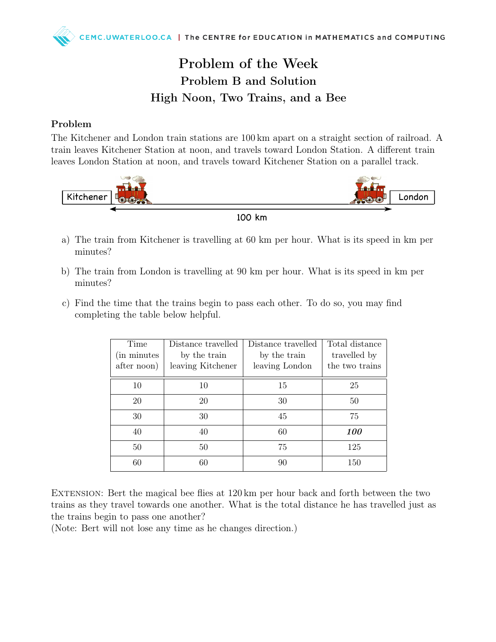## Problem of the Week Problem B and Solution High Noon, Two Trains, and a Bee

## Problem

The Kitchener and London train stations are 100 km apart on a straight section of railroad. A train leaves Kitchener Station at noon, and travels toward London Station. A different train leaves London Station at noon, and travels toward Kitchener Station on a parallel track.



100 km

- a) The train from Kitchener is travelling at 60 km per hour. What is its speed in km per minutes?
- b) The train from London is travelling at 90 km per hour. What is its speed in km per minutes?
- c) Find the time that the trains begin to pass each other. To do so, you may find completing the table below helpful.

| Time<br>(in minutes)<br>after noon) | Distance travelled<br>by the train<br>leaving Kitchener | Distance travelled<br>by the train<br>leaving London | Total distance<br>travelled by<br>the two trains |
|-------------------------------------|---------------------------------------------------------|------------------------------------------------------|--------------------------------------------------|
| 10                                  | 10                                                      | 15                                                   | 25                                               |
| 20                                  | 20                                                      | 30                                                   | 50                                               |
| 30                                  | 30                                                      | 45                                                   | 75                                               |
| 40                                  | 40                                                      | 60                                                   | 100                                              |
| 50                                  | 50                                                      | 75                                                   | 125                                              |
| 60                                  | 60                                                      | 90                                                   | 150                                              |

EXTENSION: Bert the magical bee flies at  $120 \text{ km}$  per hour back and forth between the two trains as they travel towards one another. What is the total distance he has travelled just as the trains begin to pass one another?

(Note: Bert will not lose any time as he changes direction.)